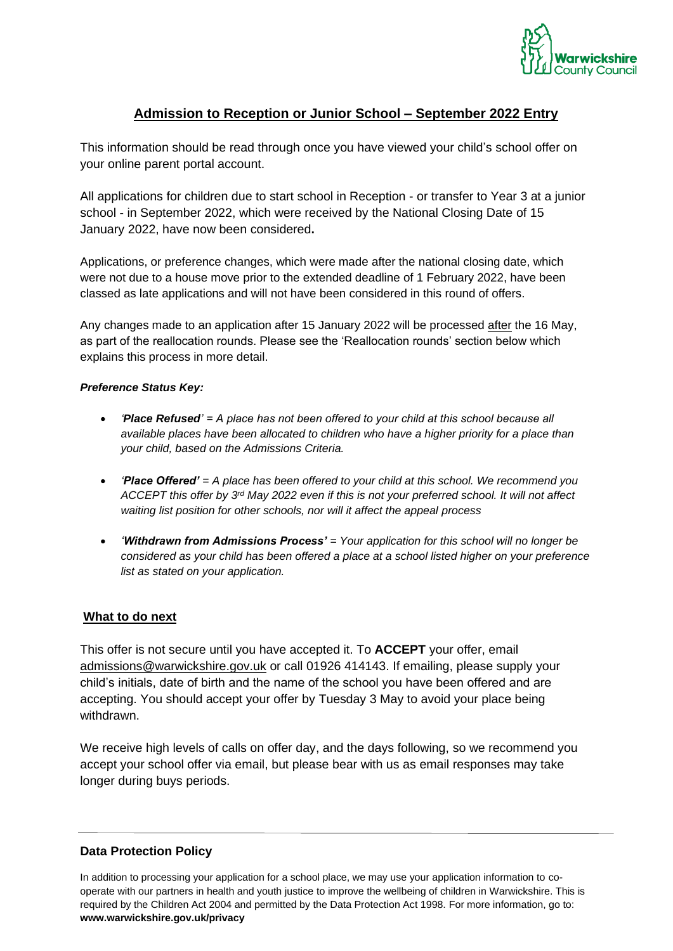

# **Admission to Reception or Junior School – September 2022 Entry**

This information should be read through once you have viewed your child's school offer on your online parent portal account.

All applications for children due to start school in Reception - or transfer to Year 3 at a junior school - in September 2022, which were received by the National Closing Date of 15 January 2022, have now been considered**.**

Applications, or preference changes, which were made after the national closing date, which were not due to a house move prior to the extended deadline of 1 February 2022, have been classed as late applications and will not have been considered in this round of offers.

Any changes made to an application after 15 January 2022 will be processed after the 16 May, as part of the reallocation rounds. Please see the 'Reallocation rounds' section below which explains this process in more detail.

#### *Preference Status Key:*

- *'Place Refused' = A place has not been offered to your child at this school because all available places have been allocated to children who have a higher priority for a place than your child, based on the Admissions Criteria.*
- *'Place Offered' = A place has been offered to your child at this school. We recommend you ACCEPT this offer by 3 rd May 2022 even if this is not your preferred school. It will not affect waiting list position for other schools, nor will it affect the appeal process*
- *'Withdrawn from Admissions Process' = Your application for this school will no longer be considered as your child has been offered a place at a school listed higher on your preference list as stated on your application.*

### **What to do next**

This offer is not secure until you have accepted it. To **ACCEPT** your offer, email [admissions@warwickshire.gov.uk](mailto:admissions@warwickshire.gov.uk) or call 01926 414143. If emailing, please supply your child's initials, date of birth and the name of the school you have been offered and are accepting. You should accept your offer by Tuesday 3 May to avoid your place being withdrawn.

We receive high levels of calls on offer day, and the days following, so we recommend you accept your school offer via email, but please bear with us as email responses may take longer during buys periods.

### **Data Protection Policy**

In addition to processing your application for a school place, we may use your application information to cooperate with our partners in health and youth justice to improve the wellbeing of children in Warwickshire. This is required by the Children Act 2004 and permitted by the Data Protection Act 1998. For more information, go to: **[www.warwickshire.gov.uk/privacy](http://www.warwickshire.gov.uk/privacy)**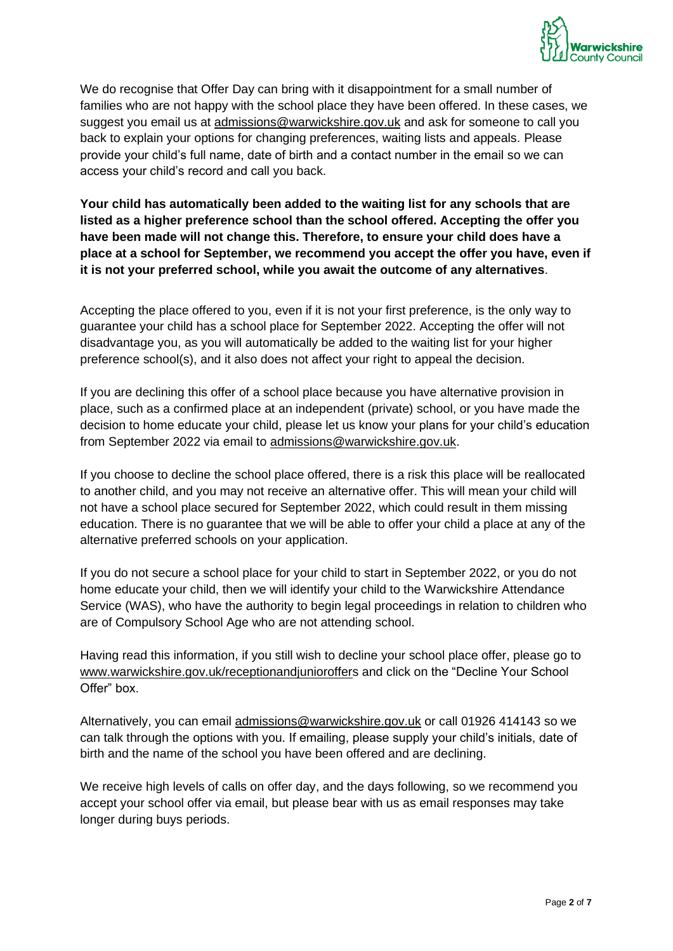

We do recognise that Offer Day can bring with it disappointment for a small number of families who are not happy with the school place they have been offered. In these cases, we suggest you email us at [admissions@warwickshire.gov.uk](mailto:admissions@warwickshire.gov.uk) and ask for someone to call you back to explain your options for changing preferences, waiting lists and appeals. Please provide your child's full name, date of birth and a contact number in the email so we can access your child's record and call you back.

**Your child has automatically been added to the waiting list for any schools that are listed as a higher preference school than the school offered. Accepting the offer you have been made will not change this. Therefore, to ensure your child does have a place at a school for September, we recommend you accept the offer you have, even if it is not your preferred school, while you await the outcome of any alternatives**.

Accepting the place offered to you, even if it is not your first preference, is the only way to guarantee your child has a school place for September 2022. Accepting the offer will not disadvantage you, as you will automatically be added to the waiting list for your higher preference school(s), and it also does not affect your right to appeal the decision.

If you are declining this offer of a school place because you have alternative provision in place, such as a confirmed place at an independent (private) school, or you have made the decision to home educate your child, please let us know your plans for your child's education from September 2022 via email to [admissions@warwickshire.gov.uk.](mailto:admissions@warwickshire.gov.uk)

If you choose to decline the school place offered, there is a risk this place will be reallocated to another child, and you may not receive an alternative offer. This will mean your child will not have a school place secured for September 2022, which could result in them missing education. There is no guarantee that we will be able to offer your child a place at any of the alternative preferred schools on your application.

If you do not secure a school place for your child to start in September 2022, or you do not home educate your child, then we will identify your child to the Warwickshire Attendance Service (WAS), who have the authority to begin legal proceedings in relation to children who are of Compulsory School Age who are not attending school.

Having read this information, if you still wish to decline your school place offer, please go to www.warwickshire.gov.uk/receptionandjunioroffers and click on the "Decline Your School Offer" box.

Alternatively, you can email admissions@warwickshire.gov.uk or call 01926 414143 so we can talk through the options with you. If emailing, please supply your child's initials, date of birth and the name of the school you have been offered and are declining.

We receive high levels of calls on offer day, and the days following, so we recommend you accept your school offer via email, but please bear with us as email responses may take longer during buys periods.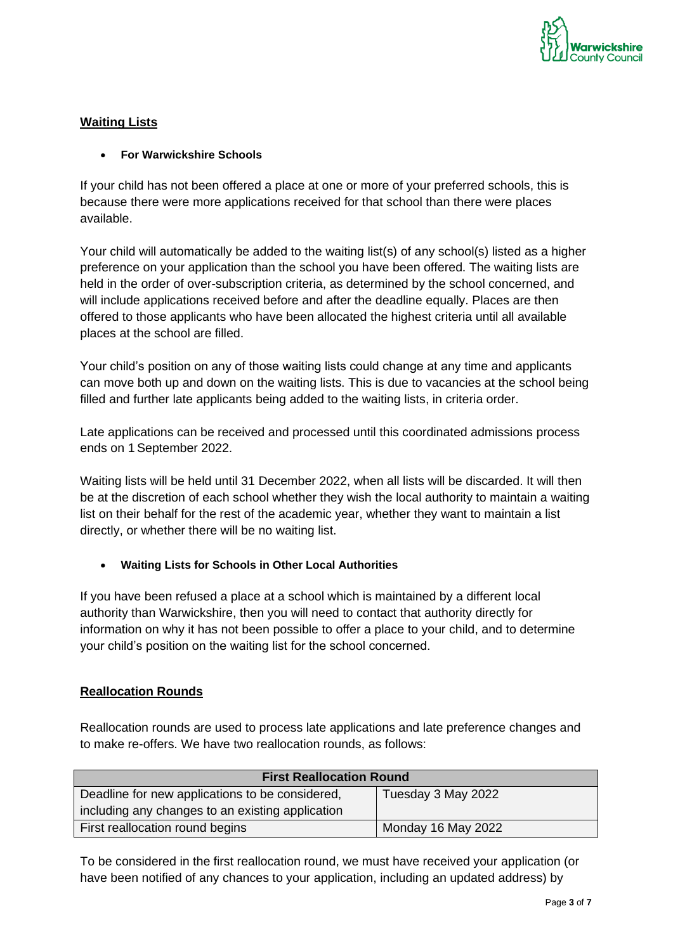

## **Waiting Lists**

### • **For Warwickshire Schools**

If your child has not been offered a place at one or more of your preferred schools, this is because there were more applications received for that school than there were places available.

Your child will automatically be added to the waiting list(s) of any school(s) listed as a higher preference on your application than the school you have been offered. The waiting lists are held in the order of over-subscription criteria, as determined by the school concerned, and will include applications received before and after the deadline equally. Places are then offered to those applicants who have been allocated the highest criteria until all available places at the school are filled.

Your child's position on any of those waiting lists could change at any time and applicants can move both up and down on the waiting lists. This is due to vacancies at the school being filled and further late applicants being added to the waiting lists, in criteria order.

Late applications can be received and processed until this coordinated admissions process ends on 1 September 2022.

Waiting lists will be held until 31 December 2022, when all lists will be discarded. It will then be at the discretion of each school whether they wish the local authority to maintain a waiting list on their behalf for the rest of the academic year, whether they want to maintain a list directly, or whether there will be no waiting list.

• **Waiting Lists for Schools in Other Local Authorities**

If you have been refused a place at a school which is maintained by a different local authority than Warwickshire, then you will need to contact that authority directly for information on why it has not been possible to offer a place to your child, and to determine your child's position on the waiting list for the school concerned.

## **Reallocation Rounds**

Reallocation rounds are used to process late applications and late preference changes and to make re-offers. We have two reallocation rounds, as follows:

| <b>First Reallocation Round</b>                  |                    |  |
|--------------------------------------------------|--------------------|--|
| Deadline for new applications to be considered,  | Tuesday 3 May 2022 |  |
| including any changes to an existing application |                    |  |
| First reallocation round begins                  | Monday 16 May 2022 |  |

To be considered in the first reallocation round, we must have received your application (or have been notified of any chances to your application, including an updated address) by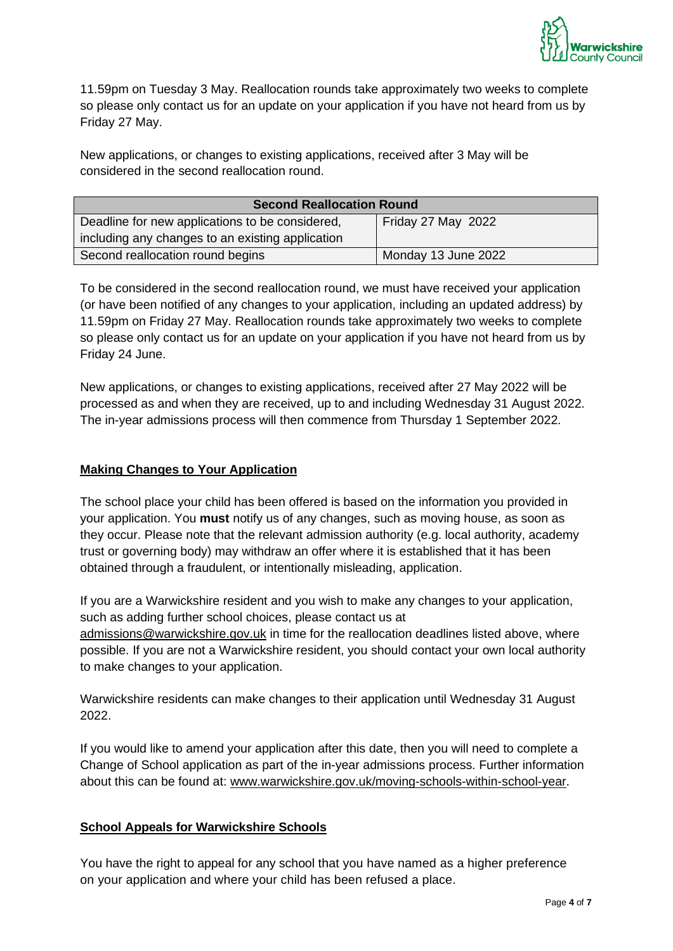

11.59pm on Tuesday 3 May. Reallocation rounds take approximately two weeks to complete so please only contact us for an update on your application if you have not heard from us by Friday 27 May.

New applications, or changes to existing applications, received after 3 May will be considered in the second reallocation round.

| <b>Second Reallocation Round</b>                 |                     |  |
|--------------------------------------------------|---------------------|--|
| Deadline for new applications to be considered,  | Friday 27 May 2022  |  |
| including any changes to an existing application |                     |  |
| Second reallocation round begins                 | Monday 13 June 2022 |  |

To be considered in the second reallocation round, we must have received your application (or have been notified of any changes to your application, including an updated address) by 11.59pm on Friday 27 May. Reallocation rounds take approximately two weeks to complete so please only contact us for an update on your application if you have not heard from us by Friday 24 June.

New applications, or changes to existing applications, received after 27 May 2022 will be processed as and when they are received, up to and including Wednesday 31 August 2022. The in-year admissions process will then commence from Thursday 1 September 2022.

### **Making Changes to Your Application**

The school place your child has been offered is based on the information you provided in your application. You **must** notify us of any changes, such as moving house, as soon as they occur. Please note that the relevant admission authority (e.g. local authority, academy trust or governing body) may withdraw an offer where it is established that it has been obtained through a fraudulent, or intentionally misleading, application.

If you are a Warwickshire resident and you wish to make any changes to your application, such as adding further school choices, please contact us at [admissions@warwickshire.gov.uk](mailto:admissions@warwickshire.gov.uk) in time for the reallocation deadlines listed above, where possible. If you are not a Warwickshire resident, you should contact your own local authority to make changes to your application.

Warwickshire residents can make changes to their application until Wednesday 31 August 2022.

If you would like to amend your application after this date, then you will need to complete a Change of School application as part of the in-year admissions process. Further information about this can be found at: [www.warwickshire.gov.uk/moving-schools-within-school-year.](http://www.warwickshire.gov.uk/moving-schools-within-school-year)

### **School Appeals for Warwickshire Schools**

You have the right to appeal for any school that you have named as a higher preference on your application and where your child has been refused a place.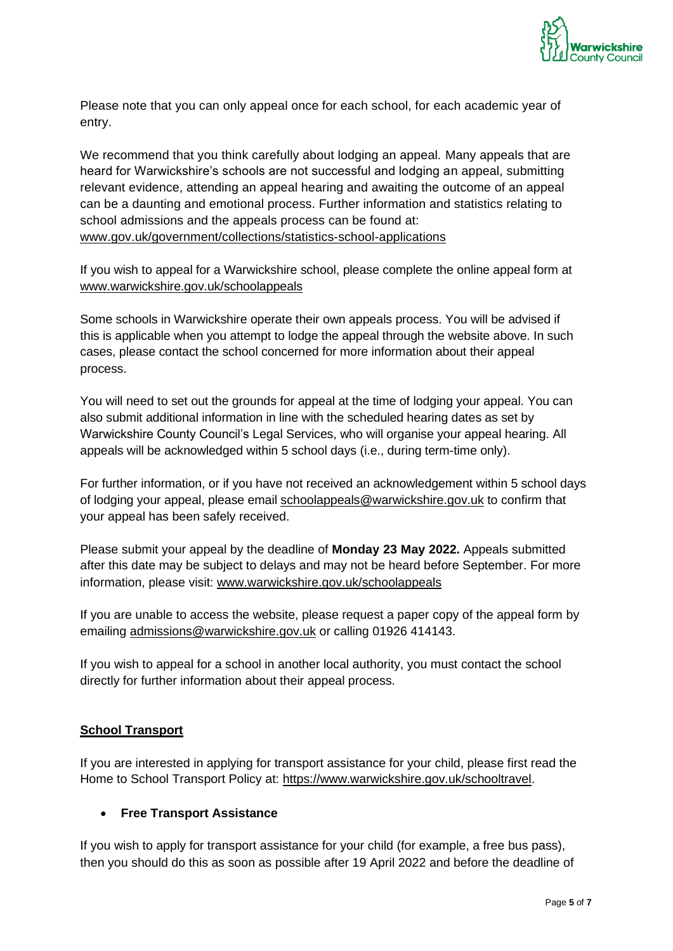

Please note that you can only appeal once for each school, for each academic year of entry.

We recommend that you think carefully about lodging an appeal. Many appeals that are heard for Warwickshire's schools are not successful and lodging an appeal, submitting relevant evidence, attending an appeal hearing and awaiting the outcome of an appeal can be a daunting and emotional process. Further information and statistics relating to school admissions and the appeals process can be found at: [www.gov.uk/government/collections/statistics-school-applications](http://www.gov.uk/government/collections/statistics-school-applications)

If you wish to appeal for a Warwickshire school, please complete the online appeal form at [www.warwickshire.gov.uk/schoolappeals](http://www.warwickshire.gov.uk/schoolappeals)

Some schools in Warwickshire operate their own appeals process. You will be advised if this is applicable when you attempt to lodge the appeal through the website above. In such cases, please contact the school concerned for more information about their appeal process.

You will need to set out the grounds for appeal at the time of lodging your appeal. You can also submit additional information in line with the scheduled hearing dates as set by Warwickshire County Council's Legal Services, who will organise your appeal hearing. All appeals will be acknowledged within 5 school days (i.e., during term-time only).

For further information, or if you have not received an acknowledgement within 5 school days of lodging your appeal, please email [schoolappeals@warwickshire.gov.uk](mailto:schoolappeals@warwickshire.gov.uk) to confirm that your appeal has been safely received.

Please submit your appeal by the deadline of **Monday 23 May 2022.** Appeals submitted after this date may be subject to delays and may not be heard before September. For more information, please visit: [www.warwickshire.gov.uk/schoolappeals](http://www.warwickshire.gov.uk/schoolappeals)

If you are unable to access the website, please request a paper copy of the appeal form by emailing [admissions@warwickshire.gov.uk](mailto:admissions@warwickshire.gov.uk) or calling 01926 414143.

If you wish to appeal for a school in another local authority, you must contact the school directly for further information about their appeal process.

## **School Transport**

If you are interested in applying for transport assistance for your child, please first read the Home to School Transport Policy at: [https://www.warwickshire.gov.uk/schooltravel.](https://www.warwickshire.gov.uk/schooltravel)

### • **Free Transport Assistance**

If you wish to apply for transport assistance for your child (for example, a free bus pass), then you should do this as soon as possible after 19 April 2022 and before the deadline of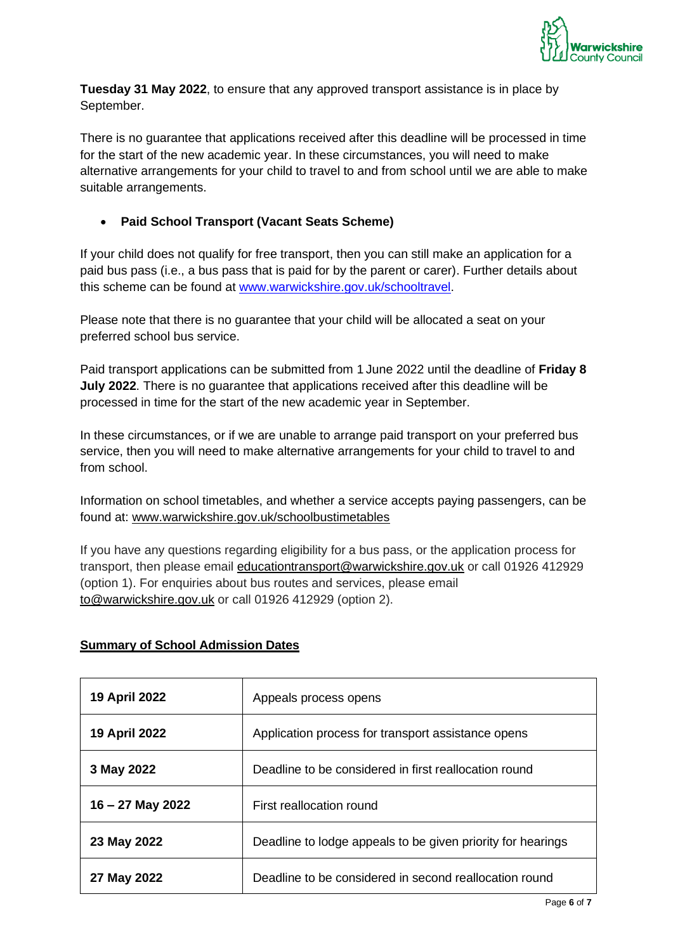

**Tuesday 31 May 2022**, to ensure that any approved transport assistance is in place by September.

There is no guarantee that applications received after this deadline will be processed in time for the start of the new academic year. In these circumstances, you will need to make alternative arrangements for your child to travel to and from school until we are able to make suitable arrangements.

## • **Paid School Transport (Vacant Seats Scheme)**

If your child does not qualify for free transport, then you can still make an application for a paid bus pass (i.e., a bus pass that is paid for by the parent or carer). Further details about this scheme can be found at [www.warwickshire.gov.uk/schooltravel.](http://www.warwickshire.gov.uk/schooltravel)

Please note that there is no guarantee that your child will be allocated a seat on your preferred school bus service.

Paid transport applications can be submitted from 1 June 2022 until the deadline of **Friday 8 July 2022**. There is no guarantee that applications received after this deadline will be processed in time for the start of the new academic year in September.

In these circumstances, or if we are unable to arrange paid transport on your preferred bus service, then you will need to make alternative arrangements for your child to travel to and from school.

Information on school timetables, and whether a service accepts paying passengers, can be found at: [www.warwickshire.gov.uk/schoolbustimetables](http://www.warwickshire.gov.uk/schoolbustimetables)

If you have any questions regarding eligibility for a bus pass, or the application process for transport, then please email [educationtransport@warwickshire.gov.uk](mailto:educationtransport@warwickshire.gov.uk) or call 01926 412929 (option 1). For enquiries about bus routes and services, please email [to@warwickshire.gov.uk](mailto:to@warwickshire.gov.uk) or call 01926 412929 (option 2).

### **Summary of School Admission Dates**

| <b>19 April 2022</b> | Appeals process opens                                       |
|----------------------|-------------------------------------------------------------|
| <b>19 April 2022</b> | Application process for transport assistance opens          |
| 3 May 2022           | Deadline to be considered in first reallocation round       |
| $16 - 27$ May 2022   | First reallocation round                                    |
| 23 May 2022          | Deadline to lodge appeals to be given priority for hearings |
| 27 May 2022          | Deadline to be considered in second reallocation round      |